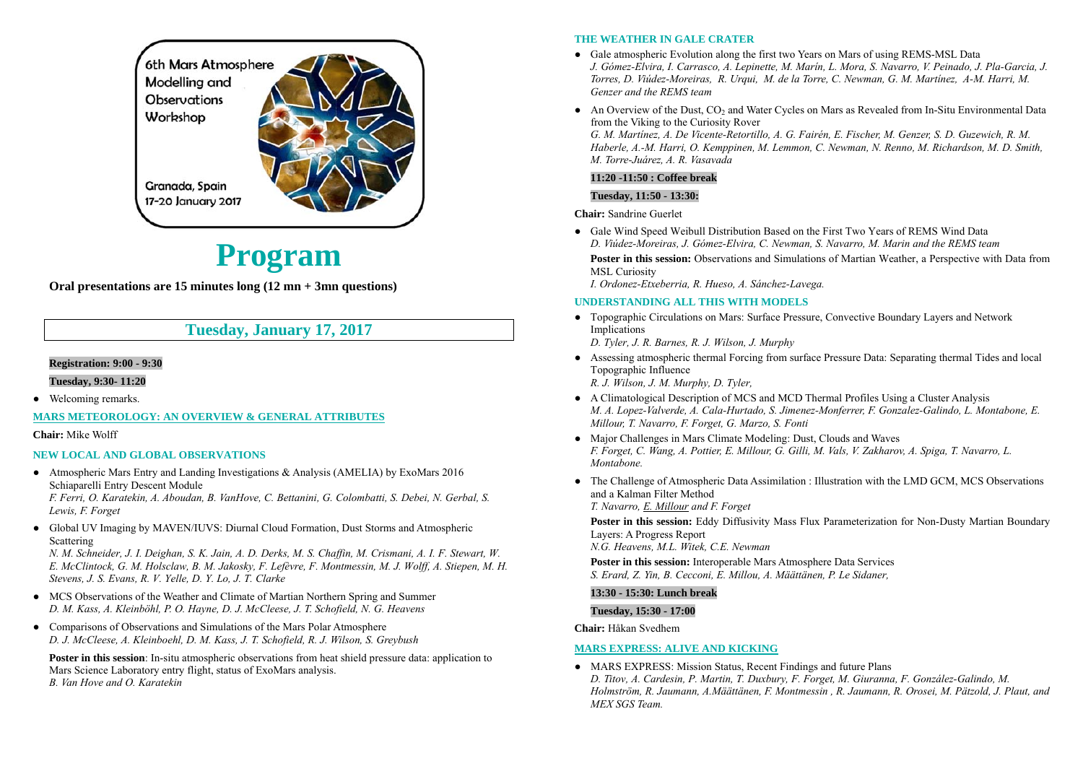

# **Program**

**Oral presentations are 15 minutes long (12 mn + 3mn questions)** 

# **Tuesday, January 17, 2017**

### **Registration: 9:00 - 9:30**

**Tuesday, 9:30- 11:20** 

• Welcoming remarks.

**MARS METEOROLOGY: AN OVERVIEW & GENERAL ATTRIBUTES**

#### **Chair:** Mike Wolff

#### **NEW LOCAL AND GLOBAL OBSERVATIONS**

● Atmospheric Mars Entry and Landing Investigations & Analysis (AMELIA) by ExoMars 2016 Schiaparelli Entry Descent Module

*F. Ferri, O. Karatekin, A. Aboudan, B. VanHove, C. Bettanini, G. Colombatti, S. Debei, N. Gerbal, S. Lewis, F. Forget* 

● Global UV Imaging by MAVEN/IUVS: Diurnal Cloud Formation, Dust Storms and Atmospheric Scattering

*N. M. Schneider, J. I. Deighan, S. K. Jain, A. D. Derks, M. S. Chaffin, M. Crismani, A. I. F. Stewart, W. E. McClintock, G. M. Holsclaw, B. M. Jakosky, F. Lefèvre, F. Montmessin, M. J. Wolff, A. Stiepen, M. H. Stevens, J. S. Evans, R. V. Yelle, D. Y. Lo, J. T. Clarke* 

- MCS Observations of the Weather and Climate of Martian Northern Spring and Summer *D. M. Kass, A. Kleinböhl, P. O. Hayne, D. J. McCleese, J. T. Schofield, N. G. Heavens*
- Comparisons of Observations and Simulations of the Mars Polar Atmosphere *D. J. McCleese, A. Kleinboehl, D. M. Kass, J. T. Schofield, R. J. Wilson, S. Greybush*

**Poster in this session**: In-situ atmospheric observations from heat shield pressure data: application to Mars Science Laboratory entry flight, status of ExoMars analysis. *B. Van Hove and O. Karatekin* 

#### **THE WEATHER IN GALE CRATER**

- Gale atmospheric Evolution along the first two Years on Mars of using REMS-MSL Data *J. Gómez-Elvira, I. Carrasco, A. Lepinette, M. Marín, L. Mora, S. Navarro, V. Peinado, J. Pla-Garcia, J. Torres, D. Viúdez-Moreiras, R. Urqui, M. de la Torre, C. Newman, G. M. Martínez, A-M. Harri, M. Genzer and the REMS team*
- $\bullet$  An Overview of the Dust,  $CO_2$  and Water Cycles on Mars as Revealed from In-Situ Environmental Data from the Viking to the Curiosity Rover *G. M. Martínez, A. De Vicente-Retortillo, A. G. Fairén, E. Fischer, M. Genzer, S. D. Guzewich, R. M. Haberle, A.-M. Harri, O. Kemppinen, M. Lemmon, C. Newman, N. Renno, M. Richardson, M. D. Smith,*

### *M. Torre-Juárez, A. R. Vasavada*  **11:20 -11:50 : Coffee break**

#### **Tuesday, 11:50 - 13:30:**

**Chair:** Sandrine Guerlet

● Gale Wind Speed Weibull Distribution Based on the First Two Years of REMS Wind Data *D. Viúdez-Moreiras, J. Gómez-Elvira, C. Newman, S. Navarro, M. Marin and the REMS team*  **Poster in this session:** Observations and Simulations of Martian Weather, a Perspective with Data from MSL Curiosity

*I. Ordonez-Etxeberria, R. Hueso, A. Sánchez-Lavega.* 

#### **UNDERSTANDING ALL THIS WITH MODELS**

● Topographic Circulations on Mars: Surface Pressure, Convective Boundary Layers and Network Implications

*D. Tyler, J. R. Barnes, R. J. Wilson, J. Murphy* 

- Assessing atmospheric thermal Forcing from surface Pressure Data: Separating thermal Tides and local Topographic Influence *R. J. Wilson, J. M. Murphy, D. Tyler,*
- A Climatological Description of MCS and MCD Thermal Profiles Using a Cluster Analysis *M. A. Lopez-Valverde, A. Cala-Hurtado, S. Jimenez-Monferrer, F. Gonzalez-Galindo, L. Montabone, E. Millour, T. Navarro, F. Forget, G. Marzo, S. Fonti*
- Major Challenges in Mars Climate Modeling: Dust, Clouds and Waves *F. Forget, C. Wang, A. Pottier, E. Millour, G. Gilli, M. Vals, V. Zakharov, A. Spiga, T. Navarro, L. Montabone.*
- ● The Challenge of Atmospheric Data Assimilation : Illustration with the LMD GCM, MCS Observations and a Kalman Filter Method *T. Navarro, E. Millour and F. Forget*

**Poster in this session:** Eddy Diffusivity Mass Flux Parameterization for Non-Dusty Martian Boundary Layers: A Progress Report

*N.G. Heavens, M.L. Witek, C.E. Newman* 

**Poster in this session:** Interoperable Mars Atmosphere Data Services *S. Erard, Z. Yin, B. Cecconi, E. Millou, A. Määttänen, P. Le Sidaner,* 

#### **13:30 - 15:30: Lunch break**

#### **Tuesday, 15:30 - 17:00**

**Chair:** Håkan Svedhem

#### **MARS EXPRESS: ALIVE AND KICKING**

● MARS EXPRESS: Mission Status, Recent Findings and future Plans *D. Titov, A. Cardesin, P. Martin, T. Duxbury, F. Forget, M. Giuranna, F. González-Galindo, M. Holmström, R. Jaumann, A.Määttänen, F. Montmessin , R. Jaumann, R. Orosei, M. Pätzold, J. Plaut, and MEX SGS Team.*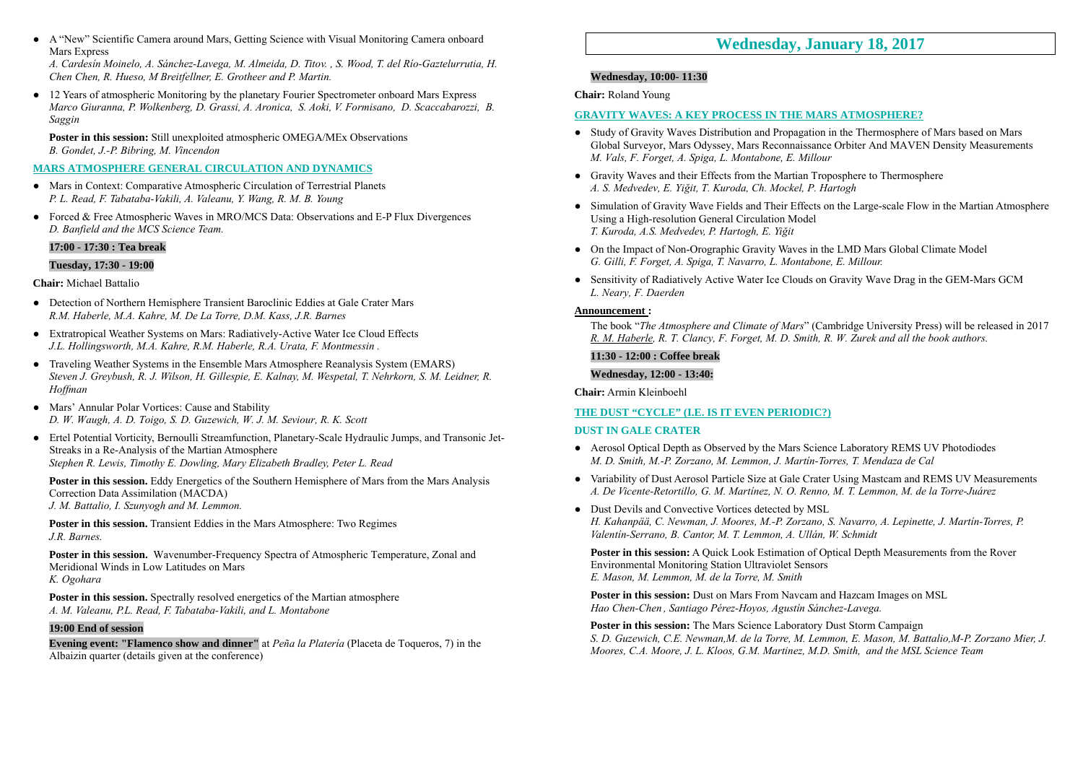● A "New" Scientific Camera around Mars, Getting Science with Visual Monitoring Camera onboard Mars Express

*A. Cardesín Moinelo, A. Sánchez-Lavega, M. Almeida, D. Titov. , S. Wood, T. del Río-Gaztelurrutia, H. Chen Chen, R. Hueso, M Breitfellner, E. Grotheer and P. Martin.* 

• 12 Years of atmospheric Monitoring by the planetary Fourier Spectrometer onboard Mars Express *Marco Giuranna, P. Wolkenberg, D. Grassi, A. Aronica, S. Aoki, V. Formisano, D. Scaccabarozzi, B. Saggin*

**Poster in this session:** Still unexploited atmospheric OMEGA/MEx Observations *B. Gondet, J.-P. Bibring, M. Vincendon* 

**MARS ATMOSPHERE GENERAL CIRCULATION AND DYNAMICS**

- Mars in Context: Comparative Atmospheric Circulation of Terrestrial Planets *P. L. Read, F. Tabataba-Vakili, A. Valeanu, Y. Wang, R. M. B. Young*
- Forced & Free Atmospheric Waves in MRO/MCS Data: Observations and E-P Flux Divergences *D. Banfield and the MCS Science Team.*

#### **17:00 - 17:30 : Tea break**

#### **Tuesday, 17:30 - 19:00**

#### **Chair:** Michael Battalio

- Detection of Northern Hemisphere Transient Baroclinic Eddies at Gale Crater Mars *R.M. Haberle, M.A. Kahre, M. De La Torre, D.M. Kass, J.R. Barnes*
- Extratropical Weather Systems on Mars: Radiatively-Active Water Ice Cloud Effects *J.L. Hollingsworth, M.A. Kahre, R.M. Haberle, R.A. Urata, F. Montmessin .*
- Traveling Weather Systems in the Ensemble Mars Atmosphere Reanalysis System (EMARS) *Steven J. Greybush, R. J. Wilson, H. Gillespie, E. Kalnay, M. Wespetal, T. Nehrkorn, S. M. Leidner, R. Hoffman*
- Mars' Annular Polar Vortices: Cause and Stability *D. W. Waugh, A. D. Toigo, S. D. Guzewich, W. J. M. Seviour, R. K. Scott*
- Ertel Potential Vorticity, Bernoulli Streamfunction, Planetary-Scale Hydraulic Jumps, and Transonic Jet-Streaks in a Re-Analysis of the Martian Atmosphere *Stephen R. Lewis, Timothy E. Dowling, Mary Elizabeth Bradley, Peter L. Read*

**Poster in this session.** Eddy Energetics of the Southern Hemisphere of Mars from the Mars Analysis Correction Data Assimilation (MACDA)

*J. M. Battalio, I. Szunyogh and M. Lemmon.* 

**Poster in this session.** Transient Eddies in the Mars Atmosphere: Two Regimes *J.R. Barnes.* 

**Poster in this session.** Wavenumber-Frequency Spectra of Atmospheric Temperature, Zonal and Meridional Winds in Low Latitudes on Mars *K. Ogohara* 

**Poster in this session.** Spectrally resolved energetics of the Martian atmosphere *A. M. Valeanu, P.L. Read, F. Tabataba-Vakili, and L. Montabone* 

#### **19:00 End of session**

**Evening event: "Flamenco show and dinner"** at *Peña la Platería* (Placeta de Toqueros, 7) in the Albaizin quarter (details given at the conference)

# **Wednesday, January 18, 2017**

#### **Wednesday, 10:00- 11:30**

**Chair:** Roland Young

#### **GRAVITY WAVES: A KEY PROCESS IN THE MARS ATMOSPHERE?**

- Study of Gravity Waves Distribution and Propagation in the Thermosphere of Mars based on Mars Global Surveyor, Mars Odyssey, Mars Reconnaissance Orbiter And MAVEN Density Measurements *M. Vals, F. Forget, A. Spiga, L. Montabone, E. Millour*
- Gravity Waves and their Effects from the Martian Troposphere to Thermosphere *A. S. Medvedev, E. Yiğit, T. Kuroda, Ch. Mockel, P. Hartogh*
- Simulation of Gravity Wave Fields and Their Effects on the Large-scale Flow in the Martian Atmosphere Using a High-resolution General Circulation Model *T. Kuroda, A.S. Medvedev, P. Hartogh, E. Yiğit*
- On the Impact of Non-Orographic Gravity Waves in the LMD Mars Global Climate Model *G. Gilli, F. Forget, A. Spiga, T. Navarro, L. Montabone, E. Millour.*
- Sensitivity of Radiatively Active Water Ice Clouds on Gravity Wave Drag in the GEM-Mars GCM *L. Neary, F. Daerden*

#### **Announcement :**

The book "*The Atmosphere and Climate of Mars*" (Cambridge University Press) will be released in 2017 *R. M. Haberle, R. T. Clancy, F. Forget, M. D. Smith, R. W. Zurek and all the book authors.* 

**11:30 - 12:00 : Coffee break** 

**Wednesday, 12:00 - 13:40:** 

**Chair:** Armin Kleinboehl

#### **THE DUST "CYCLE" (I.E. IS IT EVEN PERIODIC?)**

#### **DUST IN GALE CRATER**

- Aerosol Optical Depth as Observed by the Mars Science Laboratory REMS UV Photodiodes *M. D. Smith, M.-P. Zorzano, M. Lemmon, J. Martín-Torres, T. Mendaza de Cal*
- Variability of Dust Aerosol Particle Size at Gale Crater Using Mastcam and REMS UV Measurements *A. De Vicente-Retortillo, G. M. Martínez, N. O. Renno, M. T. Lemmon, M. de la Torre-Juárez*
- Dust Devils and Convective Vortices detected by MSL *H. Kahanpää, C. Newman, J. Moores, M.-P. Zorzano, S. Navarro, A. Lepinette, J. Martín-Torres, P. Valentín-Serrano, B. Cantor, M. T. Lemmon, A. Ullán, W. Schmidt*

**Poster in this session:** A Quick Look Estimation of Optical Depth Measurements from the Rover Environmental Monitoring Station Ultraviolet Sensors *E. Mason, M. Lemmon, M. de la Torre, M. Smith* 

**Poster in this session:** Dust on Mars From Navcam and Hazcam Images on MSL *Hao Chen-Chen , Santiago Pérez-Hoyos, Agustín Sánchez-Lavega.* 

**Poster in this session:** The Mars Science Laboratory Dust Storm Campaign *S. D. Guzewich, C.E. Newman,M. de la Torre, M. Lemmon, E. Mason, M. Battalio,M-P. Zorzano Mier, J. Moores, C.A. Moore, J. L. Kloos, G.M. Martinez, M.D. Smith, and the MSL Science Team*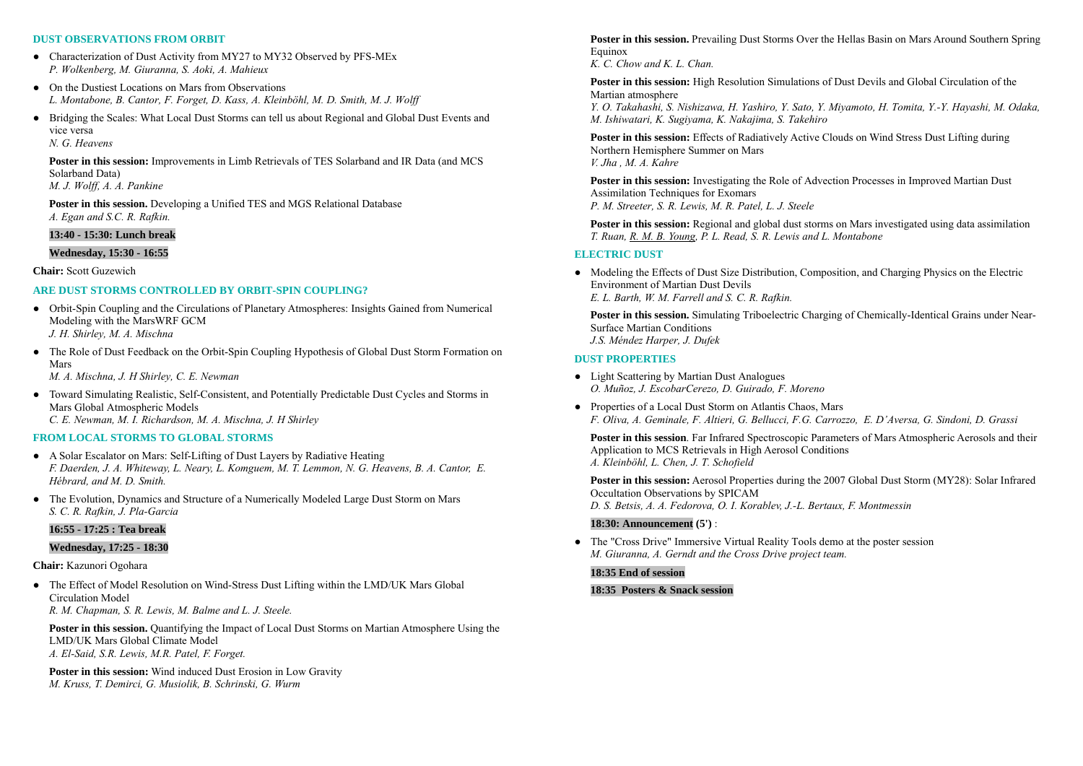#### **DUST OBSERVATIONS FROM ORBIT**

- Characterization of Dust Activity from MY27 to MY32 Observed by PFS-MEx *P. Wolkenberg, M. Giuranna, S. Aoki, A. Mahieux*
- On the Dustiest Locations on Mars from Observations *L. Montabone, B. Cantor, F. Forget, D. Kass, A. Kleinböhl, M. D. Smith, M. J. Wolff*

● Bridging the Scales: What Local Dust Storms can tell us about Regional and Global Dust Events and vice versa *N. G. Heavens* 

**Poster in this session:** Improvements in Limb Retrievals of TES Solarband and IR Data (and MCS Solarband Data) *M. J. Wolff, A. A. Pankine* 

**Poster in this session.** Developing a Unified TES and MGS Relational Database *A. Egan and S.C. R. Rafkin.* 

#### **13:40 - 15:30: Lunch break**

#### **Wednesday, 15:30 - 16:55**

**Chair:** Scott Guzewich

#### **ARE DUST STORMS CONTROLLED BY ORBIT-SPIN COUPLING?**

- Orbit-Spin Coupling and the Circulations of Planetary Atmospheres: Insights Gained from Numerical Modeling with the MarsWRF GCM *J. H. Shirley, M. A. Mischna*
- The Role of Dust Feedback on the Orbit-Spin Coupling Hypothesis of Global Dust Storm Formation on Mars

*M. A. Mischna, J. H Shirley, C. E. Newman* 

● Toward Simulating Realistic, Self-Consistent, and Potentially Predictable Dust Cycles and Storms in Mars Global Atmospheric Models *C. E. Newman, M. I. Richardson, M. A. Mischna, J. H Shirley* 

#### **FROM LOCAL STORMS TO GLOBAL STORMS**

- A Solar Escalator on Mars: Self-Lifting of Dust Layers by Radiative Heating *F. Daerden, J. A. Whiteway, L. Neary, L. Komguem, M. T. Lemmon, N. G. Heavens, B. A. Cantor, E. Hébrard, and M. D. Smith.*
- The Evolution, Dynamics and Structure of a Numerically Modeled Large Dust Storm on Mars *S. C. R. Rafkin, J. Pla-Garcia*

#### **16:55 - 17:25 : Tea break**

#### **Wednesday, 17:25 - 18:30**

#### **Chair:** Kazunori Ogohara

• The Effect of Model Resolution on Wind-Stress Dust Lifting within the LMD/UK Mars Global Circulation Model

*R. M. Chapman, S. R. Lewis, M. Balme and L. J. Steele.* 

**Poster in this session.** Quantifying the Impact of Local Dust Storms on Martian Atmosphere Using the LMD/UK Mars Global Climate Model*A. El-Said, S.R. Lewis, M.R. Patel, F. Forget.* 

**Poster in this session:** Wind induced Dust Erosion in Low Gravity *M. Kruss, T. Demirci, G. Musiolik, B. Schrinski, G. Wurm* 

**Poster in this session.** Prevailing Dust Storms Over the Hellas Basin on Mars Around Southern Spring Equinox

*K. C. Chow and K. L. Chan.* 

**Poster in this session:** High Resolution Simulations of Dust Devils and Global Circulation of the Martian atmosphere *Y. O. Takahashi, S. Nishizawa, H. Yashiro, Y. Sato, Y. Miyamoto, H. Tomita, Y.-Y. Hayashi, M. Odaka, M. Ishiwatari, K. Sugiyama, K. Nakajima, S. Takehiro* 

**Poster in this session:** Effects of Radiatively Active Clouds on Wind Stress Dust Lifting during Northern Hemisphere Summer on Mars *V. Jha , M. A. Kahre* 

**Poster in this session:** Investigating the Role of Advection Processes in Improved Martian Dust Assimilation Techniques for Exomars *P. M. Streeter, S. R. Lewis, M. R. Patel, L. J. Steele* 

**Poster in this session:** Regional and global dust storms on Mars investigated using data assimilation *T. Ruan, R. M. B. Young, P. L. Read, S. R. Lewis and L. Montabone* 

#### **ELECTRIC DUST**

● Modeling the Effects of Dust Size Distribution, Composition, and Charging Physics on the Electric Environment of Martian Dust Devils*E. L. Barth, W. M. Farrell and S. C. R. Rafkin.* 

**Poster in this session.** Simulating Triboelectric Charging of Chemically-Identical Grains under Near-Surface Martian Conditions *J.S. Méndez Harper, J. Dufek* 

#### **DUST PROPERTIES**

- Light Scattering by Martian Dust Analogues *O. Muñoz, J. EscobarCerezo, D. Guirado, F. Moreno*
- Properties of a Local Dust Storm on Atlantis Chaos, Mars *F. Oliva, A. Geminale, F. Altieri, G. Bellucci, F.G. Carrozzo, E. D'Aversa, G. Sindoni, D. Grassi*

**Poster in this session**. Far Infrared Spectroscopic Parameters of Mars Atmospheric Aerosols and their Application to MCS Retrievals in High Aerosol Conditions *A. Kleinböhl, L. Chen, J. T. Schofield* 

**Poster in this session:** Aerosol Properties during the 2007 Global Dust Storm (MY28): Solar Infrared Occultation Observations by SPICAM *D. S. Betsis, A. A. Fedorova, O. I. Korablev, J.-L. Bertaux, F. Montmessin* 

#### **18:30: Announcement (5')** :

● The "Cross Drive" Immersive Virtual Reality Tools demo at the poster session *M. Giuranna, A. Gerndt and the Cross Drive project team.*

#### **18:35 End of session**

#### **18:35 Posters & Snack session**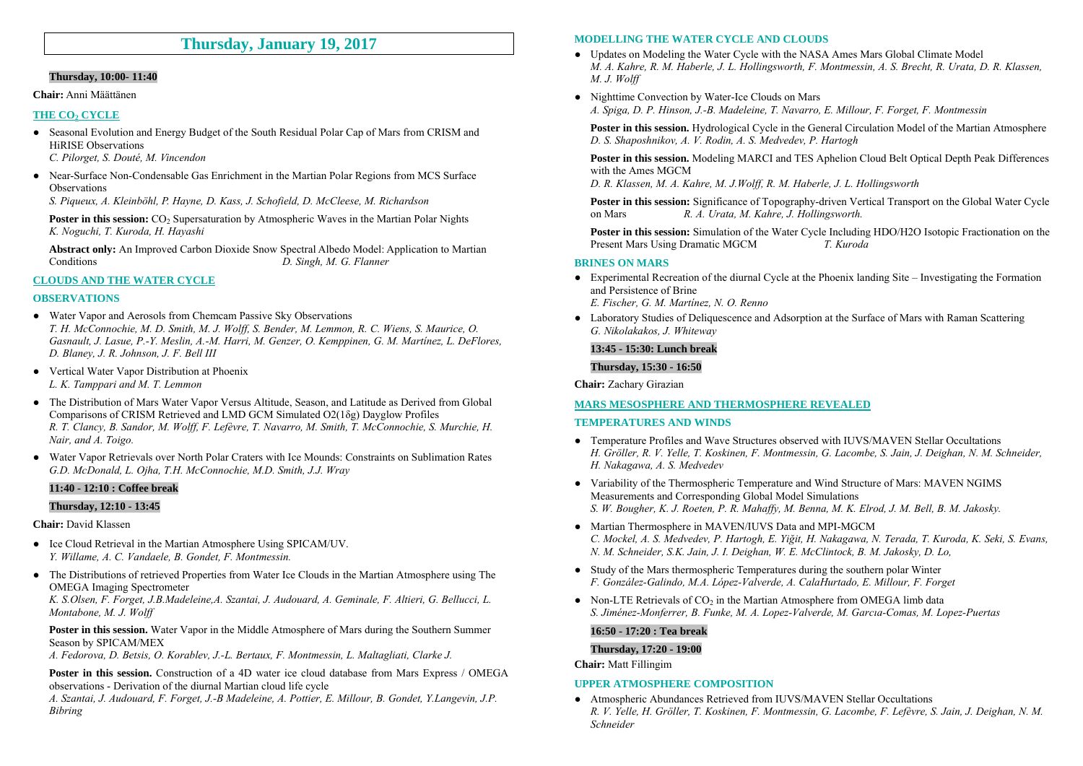## **Thursday, January 19, 2017**

#### **Thursday, 10:00- 11:40**

#### **Chair:** Anni Määttänen

#### **THE CO<sub>2</sub> CYCLE**

• Seasonal Evolution and Energy Budget of the South Residual Polar Cap of Mars from CRISM and HiRISE Observations

*C. Pilorget, S. Douté, M. Vincendon* 

● Near-Surface Non-Condensable Gas Enrichment in the Martian Polar Regions from MCS Surface **Observations** 

*S. Piqueux, A. Kleinböhl, P. Hayne, D. Kass, J. Schofield, D. McCleese, M. Richardson*

**Poster in this session:** CO<sub>2</sub> Supersaturation by Atmospheric Waves in the Martian Polar Nights *K. Noguchi, T. Kuroda, H. Hayashi* 

**Abstract only:** An Improved Carbon Dioxide Snow Spectral Albedo Model: Application to Martian Conditions *D. Singh, M. G. Flanner*

#### **CLOUDS AND THE WATER CYCLE**

#### **OBSERVATIONS**

- Water Vapor and Aerosols from Chemcam Passive Sky Observations *T. H. McConnochie, M. D. Smith, M. J. Wolff, S. Bender, M. Lemmon, R. C. Wiens, S. Maurice, O. Gasnault, J. Lasue, P.-Y. Meslin, A.-M. Harri, M. Genzer, O. Kemppinen, G. M. Martínez, L. DeFlores, D. Blaney, J. R. Johnson, J. F. Bell III*
- Vertical Water Vapor Distribution at Phoenix *L. K. Tamppari and M. T. Lemmon*
- The Distribution of Mars Water Vapor Versus Altitude, Season, and Latitude as Derived from Global Comparisons of CRISM Retrieved and LMD GCM Simulated O2(1δg) Dayglow Profiles *R. T. Clancy, B. Sandor, M. Wolff, F. Lefèvre, T. Navarro, M. Smith, T. McConnochie, S. Murchie, H. Nair, and A. Toigo.*
- Water Vapor Retrievals over North Polar Craters with Ice Mounds: Constraints on Sublimation Rates *G.D. McDonald, L. Ojha, T.H. McConnochie, M.D. Smith, J.J. Wray*

#### **11:40 - 12:10 : Coffee break**

#### **Thursday, 12:10 - 13:45**

#### **Chair:** David Klassen

- Ice Cloud Retrieval in the Martian Atmosphere Using SPICAM/UV. *Y. Willame, A. C. Vandaele, B. Gondet, F. Montmessin.*
- The Distributions of retrieved Properties from Water Ice Clouds in the Martian Atmosphere using The OMEGA Imaging Spectrometer

*K. S.Olsen, F. Forget, J.B.Madeleine,A. Szantai, J. Audouard, A. Geminale, F. Altieri, G. Bellucci, L. Montabone, M. J. Wolff* 

**Poster in this session.** Water Vapor in the Middle Atmosphere of Mars during the Southern Summer Season by SPICAM/MEX

*A. Fedorova, D. Betsis, O. Korablev, J.-L. Bertaux, F. Montmessin, L. Maltagliati, Clarke J.* 

Poster in this session. Construction of a 4D water ice cloud database from Mars Express / OMEGA observations - Derivation of the diurnal Martian cloud life cycle

*A. Szantai, J. Audouard, F. Forget, J.-B Madeleine, A. Pottier, E. Millour, B. Gondet, Y.Langevin, J.P. Bibring* 

#### **MODELLING THE WATER CYCLE AND CLOUDS**

- Updates on Modeling the Water Cycle with the NASA Ames Mars Global Climate Model *M. A. Kahre, R. M. Haberle, J. L. Hollingsworth, F. Montmessin, A. S. Brecht, R. Urata, D. R. Klassen, M. J. Wolff*
- Nighttime Convection by Water-Ice Clouds on Mars *A. Spiga, D. P. Hinson, J.-B. Madeleine, T. Navarro, E. Millour, F. Forget, F. Montmessin*

**Poster in this session.** Hydrological Cycle in the General Circulation Model of the Martian Atmosphere *D. S. Shaposhnikov, A. V. Rodin, A. S. Medvedev, P. Hartogh* 

**Poster in this session.** Modeling MARCI and TES Aphelion Cloud Belt Optical Depth Peak Differences with the Ames MGCM

*D. R. Klassen, M. A. Kahre, M. J.Wolff, R. M. Haberle, J. L. Hollingsworth* 

**Poster in this session:** Significance of Topography-driven Vertical Transport on the Global Water Cycle on Mars *R. A. Urata, M. Kahre, J. Hollingsworth.*

**Poster in this session:** Simulation of the Water Cycle Including HDO/H2O Isotopic Fractionation on the Present Mars Using Dramatic MGCM *T. Kuroda*

#### **BRINES ON MARS**

● Experimental Recreation of the diurnal Cycle at the Phoenix landing Site – Investigating the Formation and Persistence of Brine

*E. Fischer, G. M. Martínez, N. O. Renno* 

● Laboratory Studies of Deliquescence and Adsorption at the Surface of Mars with Raman Scattering *G. Nikolakakos, J. Whiteway* 

#### **13:45 - 15:30: Lunch break**

**Thursday, 15:30 - 16:50** 

**Chair:** Zachary Girazian

#### **MARS MESOSPHERE AND THERMOSPHERE REVEALED**

#### **TEMPERATURES AND WINDS**

- Temperature Profiles and Wave Structures observed with IUVS/MAVEN Stellar Occultations *H. Gröller, R. V. Yelle, T. Koskinen, F. Montmessin, G. Lacombe, S. Jain, J. Deighan, N. M. Schneider, H. Nakagawa, A. S. Medvedev*
- Variability of the Thermospheric Temperature and Wind Structure of Mars: MAVEN NGIMS Measurements and Corresponding Global Model Simulations *S. W. Bougher, K. J. Roeten, P. R. Mahaffy, M. Benna, M. K. Elrod, J. M. Bell, B. M. Jakosky.*
- Martian Thermosphere in MAVEN/IUVS Data and MPI-MGCM *C. Mockel, A. S. Medvedev, P. Hartogh, E. Yiğit, H. Nakagawa, N. Terada, T. Kuroda, K. Seki, S. Evans, N. M. Schneider, S.K. Jain, J. I. Deighan, W. E. McClintock, B. M. Jakosky, D. Lo,*
- Study of the Mars thermospheric Temperatures during the southern polar Winter *F. González-Galindo, M.A. López-Valverde, A. CalaHurtado, E. Millour, F. Forget*
- Non-LTE Retrievals of  $CO<sub>2</sub>$  in the Martian Atmosphere from OMEGA limb data *S. Jiménez-Monferrer, B. Funke, M. A. Lopez-Valverde, M. Garcıa-Comas, M. Lopez-Puertas*

#### **16:50 - 17:20 : Tea break**

#### **Thursday, 17:20 - 19:00**

**Chair:** Matt Fillingim

#### **UPPER ATMOSPHERE COMPOSITION**

● Atmospheric Abundances Retrieved from IUVS/MAVEN Stellar Occultations *R. V. Yelle, H. Gröller, T. Koskinen, F. Montmessin, G. Lacombe, F. Lefèvre, S. Jain, J. Deighan, N. M. Schneider*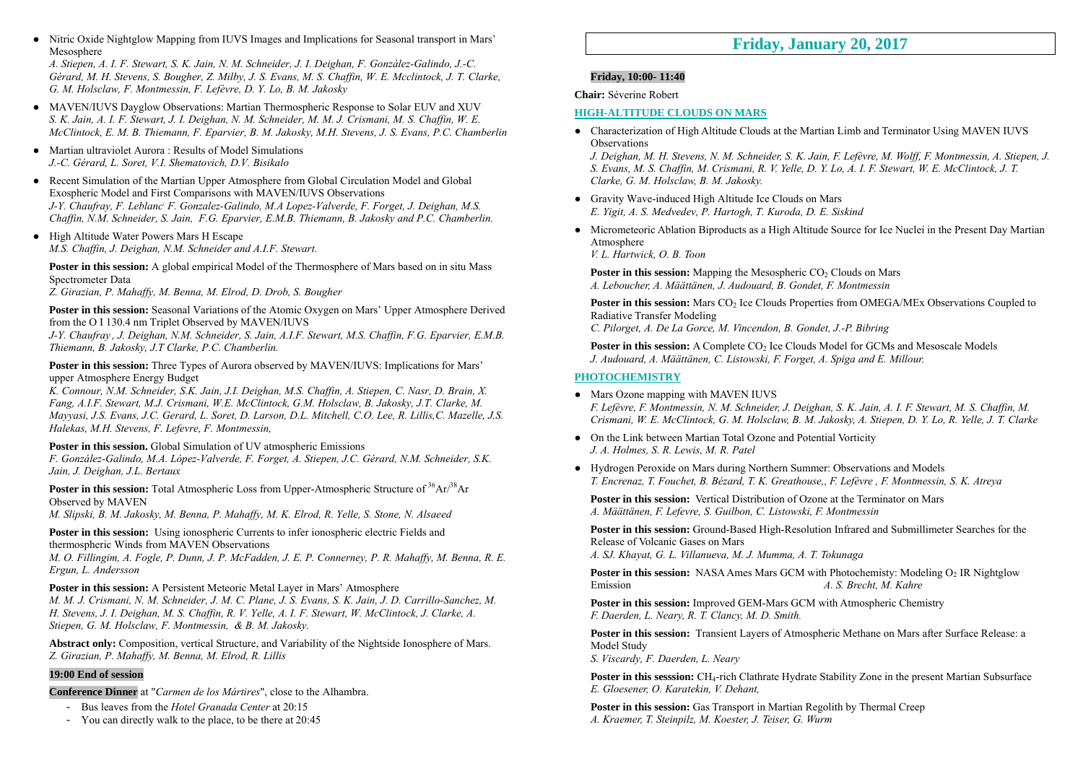● Nitric Oxide Nightglow Mapping from IUVS Images and Implications for Seasonal transport in Mars' Mesosphere

*A. Stiepen, A. I. F. Stewart, S. K. Jain, N. M. Schneider, J. I. Deighan, F. Gonzàlez-Galindo, J.-C. Gérard, M. H. Stevens, S. Bougher, Z. Milby, J. S. Evans, M. S. Chaffin, W. E. Mcclintock, J. T. Clarke, G. M. Holsclaw, F. Montmessin, F. Lefèvre, D. Y. Lo, B. M. Jakosky* 

- MAVEN/IUVS Dayglow Observations: Martian Thermospheric Response to Solar EUV and XUV *S. K. Jain, A. I. F. Stewart, J. I. Deighan, N. M. Schneider, M. M. J. Crismani, M. S. Chaffin, W. E. McClintock, E. M. B. Thiemann, F. Eparvier, B. M. Jakosky, M.H. Stevens, J. S. Evans, P.C. Chamberlin*
- Martian ultraviolet Aurora : Results of Model Simulations *J.-C. Gérard, L. Soret, V.I. Shematovich, D.V. Bisikalo*
- Recent Simulation of the Martian Upper Atmosphere from Global Circulation Model and Global Exospheric Model and First Comparisons with MAVEN/IUVS Observations *J-Y. Chaufray, F. Leblanc, F. Gonzalez-Galindo, M.A Lopez-Valverde, F. Forget, J. Deighan, M.S. Chaffin, N.M. Schneider, S. Jain, F.G. Eparvier, E.M.B. Thiemann, B. Jakosky and P.C. Chamberlin.*
- High Altitude Water Powers Mars H Escape *M.S. Chaffin, J. Deighan, N.M. Schneider and A.I.F. Stewart.*

**Poster in this session:** A global empirical Model of the Thermosphere of Mars based on in situ Mass Spectrometer Data

*Z. Girazian, P. Mahaffy, M. Benna, M. Elrod, D. Drob, S. Bougher*

**Poster in this session:** Seasonal Variations of the Atomic Oxygen on Mars' Upper Atmosphere Derived from the O I 130.4 nm Triplet Observed by MAVEN/IUVS

*J-Y. Chaufray , J. Deighan, N.M. Schneider, S. Jain, A.I.F. Stewart, M.S. Chaffin, F.G. Eparvier, E.M.B. Thiemann, B. Jakosky, J.T Clarke, P.C. Chamberlin.*

**Poster in this session:** Three Types of Aurora observed by MAVEN/IUVS: Implications for Mars' upper Atmosphere Energy Budget

*K. Connour, N.M. Schneider, S.K. Jain, J.I. Deighan, M.S. Chaffin, A. Stiepen, C. Nasr, D. Brain, X. Fang, A.I.F. Stewart, M.J. Crismani, W.E. McClintock, G.M. Holsclaw, B. Jakosky, J.T. Clarke, M. Mayyasi, J.S. Evans, J.C. Gerard, L. Soret, D. Larson, D.L. Mitchell, C.O. Lee, R. Lillis,C. Mazelle, J.S. Halekas, M.H. Stevens, F. Lefevre, F. Montmessin,* 

#### **Poster in this session.** Global Simulation of UV atmospheric Emissions

*F. González-Galindo, M.A. López-Valverde, F. Forget, A. Stiepen, J.C. Gérard, N.M. Schneider, S.K. Jain, J. Deighan, J.L. Bertaux*

**Poster in this session:** Total Atmospheric Loss from Upper-Atmospheric Structure of <sup>36</sup>Ar/<sup>38</sup>Ar Observed by MAVEN

*M. Slipski, B. M. Jakosky, M. Benna, P. Mahaffy, M. K. Elrod, R. Yelle, S. Stone, N. Alsaeed* 

#### **Poster in this session:** Using ionospheric Currents to infer ionospheric electric Fields and thermospheric Winds from MAVEN Observations

*M. O. Fillingim, A. Fogle, P. Dunn, J. P. McFadden, J. E. P. Connerney, P. R. Mahaffy, M. Benna, R. E. Ergun, L. Andersson* 

#### **Poster in this session:** A Persistent Meteoric Metal Layer in Mars' Atmosphere

*M. M. J. Crismani, N. M. Schneider, J. M. C. Plane, J. S. Evans, S. K. Jain, J. D. Carrillo-Sanchez, M. H. Stevens, J. I. Deighan, M. S. Chaffin, R. V. Yelle, A. I. F. Stewart, W. McClintock, J. Clarke, A. Stiepen, G. M. Holsclaw, F. Montmessin, & B. M. Jakosky.* 

**Abstract only:** Composition, vertical Structure, and Variability of the Nightside Ionosphere of Mars. *Z. Girazian, P. Mahaffy, M. Benna, M. Elrod, R. Lillis*

#### **19:00 End of session**

**Conference Dinner** at "*Carmen de los Mártires*", close to the Alhambra.

- Bus leaves from the *Hotel Granada Center* at 20:15
- You can directly walk to the place, to be there at 20:45

# **Friday, January 20, 2017**

### **Friday, 10:00- 11:40**

**Chair:** Séverine Robert

#### **HIGH-ALTITUDE CLOUDS ON MARS**

● Characterization of High Altitude Clouds at the Martian Limb and Terminator Using MAVEN IUVS **Observations** 

*J. Deighan, M. H. Stevens, N. M. Schneider, S. K. Jain, F. Lefèvre, M. Wolff, F. Montmessin, A. Stiepen, J. S. Evans, M. S. Chaffin, M. Crismani, R. V. Yelle, D. Y. Lo, A. I. F. Stewart, W. E. McClintock, J. T. Clarke, G. M. Holsclaw, B. M. Jakosky.* 

- Gravity Wave-induced High Altitude Ice Clouds on Mars *E. Yigit, A. S. Medvedev, P. Hartogh, T. Kuroda, D. E. Siskind*
- Micrometeoric Ablation Biproducts as a High Altitude Source for Ice Nuclei in the Present Day Martian **Atmosphere**

*V. L. Hartwick, O. B. Toon* 

**Poster in this session:** Mapping the Mesospheric CO<sub>2</sub> Clouds on Mars *A. Leboucher, A. Määttänen, J. Audouard, B. Gondet, F. Montmessin* 

**Poster in this session:** Mars CO<sub>2</sub> Ice Clouds Properties from OMEGA/MEx Observations Coupled to Radiative Transfer Modeling

*C. Pilorget, A. De La Gorce, M. Vincendon, B. Gondet, J.-P. Bibring* 

**Poster in this session:** A Complete CO<sub>2</sub> Ice Clouds Model for GCMs and Mesoscale Models *J. Audouard, A. Määttänen, C. Listowski, F. Forget, A. Spiga and E. Millour.* 

#### **PHOTOCHEMISTRY**

- Mars Ozone mapping with MAVEN IUVS *F. Lefèvre, F. Montmessin, N. M. Schneider, J. Deighan, S. K. Jain, A. I. F. Stewart, M. S. Chaffin, M. Crismani, W. E. McClintock, G. M. Holsclaw, B. M. Jakosky, A. Stiepen, D. Y. Lo, R. Yelle, J. T. Clarke*
- On the Link between Martian Total Ozone and Potential Vorticity *J. A. Holmes, S. R. Lewis, M. R. Patel*
- Hydrogen Peroxide on Mars during Northern Summer: Observations and Models *T. Encrenaz, T. Fouchet, B. Bézard, T. K. Greathouse,, F. Lefèvre , F. Montmessin, S. K. Atreya*

**Poster in this session:** Vertical Distribution of Ozone at the Terminator on Mars *A. Määttänen, F. Lefevre, S. Guilbon, C. Listowski, F. Montmessin* 

**Poster in this session:** Ground-Based High-Resolution Infrared and Submillimeter Searches for the Release of Volcanic Gases on Mars

*A. SJ. Khayat, G. L. Villanueva, M. J. Mumma, A. T. Tokunaga* 

**Poster in this session:** NASA Ames Mars GCM with Photochemisty: Modeling O<sub>2</sub> IR Nightglow Emission *A. S. Brecht, M. Kahre*

**Poster in this session:** Improved GEM-Mars GCM with Atmospheric Chemistry *F. Daerden, L. Neary, R. T. Clancy, M. D. Smith.*

**Poster in this session:** Transient Layers of Atmospheric Methane on Mars after Surface Release: a Model Study

*S. Viscardy, F. Daerden, L. Neary* 

**Poster in this sesssion:** CH4-rich Clathrate Hydrate Stability Zone in the present Martian Subsurface *E. Gloesener, O. Karatekin, V. Dehant,* 

**Poster in this session:** Gas Transport in Martian Regolith by Thermal Creep *A. Kraemer, T. Steinpilz, M. Koester, J. Teiser, G. Wurm*